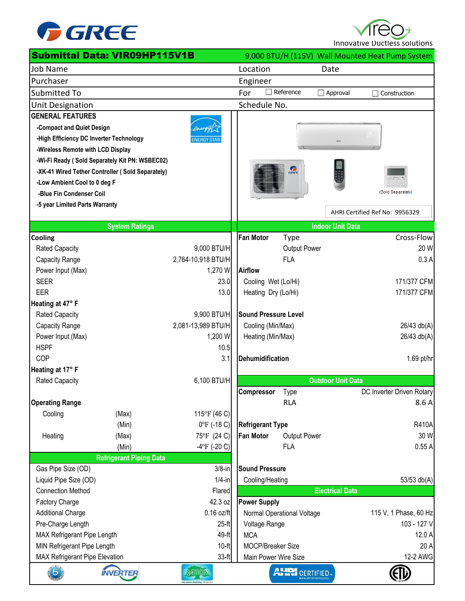

Innovative Ductless solutions

|                                                   | <b>Submittal Data: VIR09HP115V1B</b>             |                        |                             |                       |                          | 9,000 BTU/H (115V) Wall Mounted Heat Pump System |
|---------------------------------------------------|--------------------------------------------------|------------------------|-----------------------------|-----------------------|--------------------------|--------------------------------------------------|
| <b>Job Name</b>                                   |                                                  |                        | Location                    |                       | Date                     |                                                  |
| Purchaser                                         |                                                  |                        | Engineer                    |                       |                          |                                                  |
| <b>Submitted To</b>                               |                                                  |                        | For                         | $\Box$ Reference      | $\Box$ Approval          | Construction                                     |
| <b>Unit Designation</b>                           |                                                  |                        | Schedule No.                |                       |                          |                                                  |
| <b>GENERAL FEATURES</b>                           |                                                  |                        |                             |                       |                          |                                                  |
| -Compact and Quiet Design                         |                                                  |                        |                             |                       |                          |                                                  |
| -High Efficiency DC Inverter Technology           |                                                  | <b>NERGY STAI</b>      |                             |                       |                          |                                                  |
| -Wireless Remote with LCD Display                 |                                                  |                        |                             |                       |                          |                                                  |
|                                                   | -Wi-Fi Ready (Sold Separately Kit PN: WSBEC02)   |                        |                             |                       |                          |                                                  |
|                                                   | -XK-41 Wired Tether Controller (Sold Separately) |                        |                             | GRE                   |                          |                                                  |
| -Low Ambient Cool to 0 deg F                      |                                                  |                        |                             |                       |                          |                                                  |
| -Blue Fin Condenser Coil                          |                                                  |                        |                             |                       |                          | (Sold Separately)                                |
| -5 year Limited Parts Warranty                    |                                                  |                        |                             |                       |                          | AHRI Certified Ref No: 9956329                   |
|                                                   | <b>System Ratings</b>                            |                        |                             |                       | <b>Indoor Unit Data</b>  |                                                  |
| <b>Cooling</b>                                    |                                                  |                        | <b>Fan Motor</b>            | <b>Type</b>           |                          | Cross-Flow                                       |
| <b>Rated Capacity</b>                             |                                                  | 9,000 BTU/H            |                             | Output Power          |                          | 20 W                                             |
| Capacity Range                                    |                                                  | 2,764-10,918 BTU/H     |                             | <b>FLA</b>            |                          | 0.3A                                             |
| Power Input (Max)                                 |                                                  | 1,270 W                | Airflow                     |                       |                          |                                                  |
| <b>SEER</b>                                       |                                                  | 23.0                   | Cooling Wet (Lo/Hi)         |                       |                          | 171/377 CFM                                      |
| <b>EER</b>                                        |                                                  | 13.0                   | Heating Dry (Lo/Hi)         |                       |                          | 171/377 CFM                                      |
| Heating at 47° F                                  |                                                  |                        |                             |                       |                          |                                                  |
| <b>Rated Capacity</b>                             |                                                  | 9,900 BTU/H            | <b>Sound Pressure Level</b> |                       |                          |                                                  |
| Capacity Range                                    |                                                  | 2,081-13,989 BTU/H     | Cooling (Min/Max)           |                       |                          | 26/43 db(A)                                      |
| Power Input (Max)                                 |                                                  | 1,200 W                | Heating (Min/Max)           |                       |                          | 26/43 db(A)                                      |
| <b>HSPF</b>                                       |                                                  | 10.5                   |                             |                       |                          |                                                  |
| COP                                               |                                                  | 3.1                    | Dehumidification            |                       |                          | 1.69 pt/hr                                       |
| Heating at 17° F                                  |                                                  |                        |                             |                       |                          |                                                  |
| <b>Rated Capacity</b>                             |                                                  | 6,100 BTU/H            |                             |                       | <b>Outdoor Unit Data</b> |                                                  |
|                                                   |                                                  |                        | Compressor                  | <b>Type</b>           |                          | DC Inverter Driven Rotary                        |
| <b>Operating Range</b>                            |                                                  |                        |                             | <b>RLA</b>            |                          | 8.6 A                                            |
| Cooling                                           | (Max)                                            | 115°F (46 C)           |                             |                       |                          |                                                  |
|                                                   | (Min)                                            | $0^{\circ}$ F (-18 C)  | <b>Refrigerant Type</b>     |                       |                          | <b>R410A</b>                                     |
| Heating                                           | (Max)                                            | 75°F (24 C)            | <b>Fan Motor</b>            | Output Power          |                          | 30 W                                             |
|                                                   | (Min)                                            | $-4$ °F (-20 C)        |                             | <b>FLA</b>            |                          | 0.55A                                            |
|                                                   | <b>Refrigerant Piping Data</b>                   |                        | <b>Sound Pressure</b>       |                       |                          |                                                  |
| Gas Pipe Size (OD)                                |                                                  | $3/8$ -in<br>$1/4$ -in |                             |                       |                          |                                                  |
| Liquid Pipe Size (OD)<br><b>Connection Method</b> |                                                  | Flared                 | Cooling/Heating             |                       | <b>Electrical Data</b>   | 53/53 db(A)                                      |
| Factory Charge                                    |                                                  | 42.3 oz                | <b>Power Supply</b>         |                       |                          |                                                  |
| <b>Additional Charge</b>                          |                                                  | $0.16$ oz/ft           | Normal Operational Voltage  |                       |                          | 115 V, 1 Phase, 60 Hz                            |
| Pre-Charge Length                                 |                                                  | $25-ft$                | Voltage Range               |                       |                          | 103 - 127 V                                      |
| MAX Refrigerant Pipe Length                       |                                                  | 49-ft                  | <b>MCA</b>                  |                       |                          | 12.0 A                                           |
| MIN Refrigerant Pipe Length                       |                                                  | $10-ft$                |                             | MOCP/Breaker Size     |                          | 20 A                                             |
| MAX Refrigerant Pipe Elevation                    |                                                  | $33-ft$                | Main Power Wire Size        |                       |                          | 12-2 AWG                                         |
|                                                   | <b>INVERTER</b>                                  |                        |                             | <b>AHRI</b> CERTIFIED |                          |                                                  |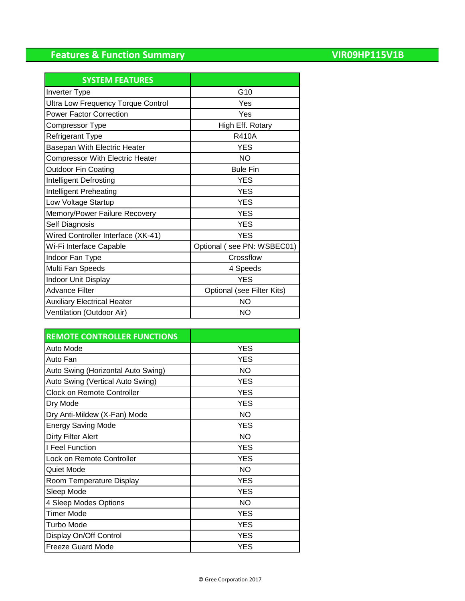## **Features & Function Summary**

| <b>VIR09HP115V1B</b> |  |  |  |  |
|----------------------|--|--|--|--|
|                      |  |  |  |  |

| <b>SYSTEM FEATURES</b>                    |                            |
|-------------------------------------------|----------------------------|
| Inverter Type                             | G <sub>10</sub>            |
| <b>Ultra Low Frequency Torque Control</b> | Yes                        |
| <b>Power Factor Correction</b>            | Yes                        |
| Compressor Type                           | High Eff. Rotary           |
| <b>Refrigerant Type</b>                   | <b>R410A</b>               |
| Basepan With Electric Heater              | <b>YES</b>                 |
| <b>Compressor With Electric Heater</b>    | <b>NO</b>                  |
| <b>Outdoor Fin Coating</b>                | <b>Bule Fin</b>            |
| Intelligent Defrosting                    | <b>YES</b>                 |
| Intelligent Preheating                    | <b>YES</b>                 |
| Low Voltage Startup                       | <b>YES</b>                 |
| Memory/Power Failure Recovery             | <b>YES</b>                 |
| Self Diagnosis                            | <b>YES</b>                 |
| Wired Controller Interface (XK-41)        | <b>YES</b>                 |
| Wi-Fi Interface Capable                   | Optional (see PN: WSBEC01) |
| Indoor Fan Type                           | Crossflow                  |
| Multi Fan Speeds                          | 4 Speeds                   |
| <b>Indoor Unit Display</b>                | <b>YES</b>                 |
| <b>Advance Filter</b>                     | Optional (see Filter Kits) |
| <b>Auxiliary Electrical Heater</b>        | <b>NO</b>                  |
| Ventilation (Outdoor Air)                 | NΟ                         |

| <b>REMOTE CONTROLLER FUNCTIONS</b> |            |
|------------------------------------|------------|
| Auto Mode                          | <b>YES</b> |
| Auto Fan                           | <b>YES</b> |
| Auto Swing (Horizontal Auto Swing) | <b>NO</b>  |
| Auto Swing (Vertical Auto Swing)   | <b>YES</b> |
| <b>Clock on Remote Controller</b>  | <b>YES</b> |
| Dry Mode                           | <b>YES</b> |
| Dry Anti-Mildew (X-Fan) Mode       | <b>NO</b>  |
| <b>Energy Saving Mode</b>          | <b>YES</b> |
| Dirty Filter Alert                 | <b>NO</b>  |
| I Feel Function                    | <b>YES</b> |
| Lock on Remote Controller          | <b>YES</b> |
| Quiet Mode                         | <b>NO</b>  |
| Room Temperature Display           | <b>YES</b> |
| Sleep Mode                         | <b>YES</b> |
| 4 Sleep Modes Options              | <b>NO</b>  |
| <b>Timer Mode</b>                  | <b>YES</b> |
| <b>Turbo Mode</b>                  | <b>YES</b> |
| Display On/Off Control             | <b>YES</b> |
| <b>Freeze Guard Mode</b>           | YES        |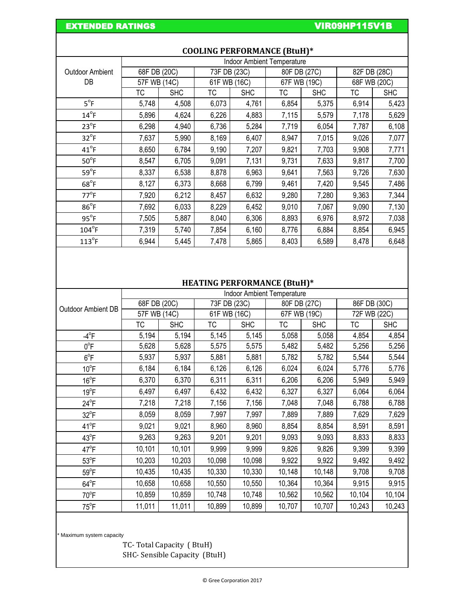EXTENDED RATINGS **EXTENDED RATINGS VIROS** 

|                        | <b>Indoor Ambient Temperature</b> |            |              |            |              |            |              |            |
|------------------------|-----------------------------------|------------|--------------|------------|--------------|------------|--------------|------------|
| <b>Outdoor Ambient</b> | 68F DB (20C)                      |            | 73F DB (23C) |            | 80F DB (27C) |            | 82F DB (28C) |            |
| DB                     | 57F WB (14C)                      |            | 61F WB (16C) |            | 67F WB (19C) |            | 68F WB (20C) |            |
|                        | ТC                                | <b>SHC</b> | ТC           | <b>SHC</b> | ТC           | <b>SHC</b> | ТC           | <b>SHC</b> |
| $5^{\circ}F$           | 5,748                             | 4,508      | 6,073        | 4,761      | 6,854        | 5,375      | 6,914        | 5,423      |
| $14^{\circ}$ F         | 5,896                             | 4,624      | 6,226        | 4,883      | 7,115        | 5,579      | 7,178        | 5,629      |
| $23^{\circ}F$          | 6,298                             | 4,940      | 6,736        | 5,284      | 7,719        | 6,054      | 7,787        | 6,108      |
| $32^{\circ}$ F         | 7,637                             | 5,990      | 8,169        | 6,407      | 8,947        | 7,015      | 9,026        | 7,077      |
| $41^{\circ}$ F         | 8,650                             | 6,784      | 9,190        | 7,207      | 9,821        | 7,703      | 9,908        | 7,771      |
| $50^{\circ}$ F         | 8,547                             | 6,705      | 9,091        | 7,131      | 9,731        | 7,633      | 9,817        | 7,700      |
| $59^{\circ}F$          | 8,337                             | 6,538      | 8,878        | 6,963      | 9,641        | 7,563      | 9,726        | 7,630      |
| $68^{\circ}$ F         | 8,127                             | 6,373      | 8,668        | 6,799      | 9,461        | 7,420      | 9,545        | 7,486      |
| $77^{\circ}$ F         | 7,920                             | 6,212      | 8,457        | 6,632      | 9,280        | 7,280      | 9,363        | 7,344      |
| $86^{\circ}F$          | 7,692                             | 6,033      | 8,229        | 6,452      | 9,010        | 7,067      | 9,090        | 7,130      |
| $95^{\circ}F$          | 7,505                             | 5,887      | 8,040        | 6,306      | 8,893        | 6,976      | 8,972        | 7,038      |
| $104^{\circ}$ F        | 7,319                             | 5,740      | 7,854        | 6,160      | 8,776        | 6,884      | 8,854        | 6,945      |
| $113^{\circ}$ F        | 6,944                             | 5,445      | 7,478        | 5,865      | 8,403        | 6,589      | 8,478        | 6,648      |

## **COOLING PERFORMANCE (BtuH)\***

## **HEATING PERFORMANCE (BtuH)\***

|                    | <b>Indoor Ambient Temperature</b> |            |              |            |              |            |              |            |
|--------------------|-----------------------------------|------------|--------------|------------|--------------|------------|--------------|------------|
| Outdoor Ambient DB | 68F DB (20C)                      |            | 73F DB (23C) |            | 80F DB (27C) |            | 86F DB (30C) |            |
|                    | 57F WB (14C)                      |            | 61F WB (16C) |            | 67F WB (19C) |            | 72F WB (22C) |            |
|                    | ТC                                | <b>SHC</b> | ТC           | <b>SHC</b> | ТC           | <b>SHC</b> | ТC           | <b>SHC</b> |
| $-4^\circ F$       | 5,194                             | 5,194      | 5,145        | 5,145      | 5,058        | 5,058      | 4,854        | 4,854      |
| $0^{\circ}$ F      | 5,628                             | 5,628      | 5,575        | 5,575      | 5,482        | 5,482      | 5,256        | 5,256      |
| $6^{\circ}$ F      | 5,937                             | 5,937      | 5,881        | 5,881      | 5,782        | 5,782      | 5,544        | 5,544      |
| $10^{\circ}$ F     | 6,184                             | 6,184      | 6,126        | 6,126      | 6,024        | 6,024      | 5,776        | 5,776      |
| $16^{\circ}$ F     | 6,370                             | 6,370      | 6,311        | 6,311      | 6,206        | 6,206      | 5,949        | 5,949      |
| $19^{\circ}$ F     | 6,497                             | 6,497      | 6,432        | 6,432      | 6,327        | 6,327      | 6,064        | 6,064      |
| $24^{\circ}F$      | 7,218                             | 7,218      | 7,156        | 7,156      | 7,048        | 7,048      | 6,788        | 6,788      |
| $32^{\circ}F$      | 8,059                             | 8,059      | 7,997        | 7,997      | 7,889        | 7,889      | 7,629        | 7,629      |
| $41^{\circ}F$      | 9,021                             | 9,021      | 8,960        | 8,960      | 8,854        | 8,854      | 8,591        | 8,591      |
| $43^{\circ}F$      | 9,263                             | 9,263      | 9,201        | 9,201      | 9,093        | 9,093      | 8,833        | 8,833      |
| $47^{\circ}$ F     | 10,101                            | 10,101     | 9,999        | 9,999      | 9,826        | 9,826      | 9,399        | 9,399      |
| $53^{\circ}$ F     | 10,203                            | 10,203     | 10,098       | 10,098     | 9,922        | 9,922      | 9,492        | 9,492      |
| $59^{\circ}$ F     | 10,435                            | 10,435     | 10,330       | 10,330     | 10,148       | 10,148     | 9,708        | 9,708      |
| $64^{\circ}F$      | 10,658                            | 10,658     | 10,550       | 10,550     | 10,364       | 10,364     | 9,915        | 9,915      |
| $70^{\circ}$ F     | 10,859                            | 10,859     | 10,748       | 10,748     | 10,562       | 10,562     | 10,104       | 10,104     |
| $75^{\circ}$ F     | 11,011                            | 11,011     | 10,899       | 10,899     | 10,707       | 10,707     | 10,243       | 10,243     |

\* Maximum system capacity

TC- Total Capacity ( BtuH) SHC- Sensible Capacity (BtuH)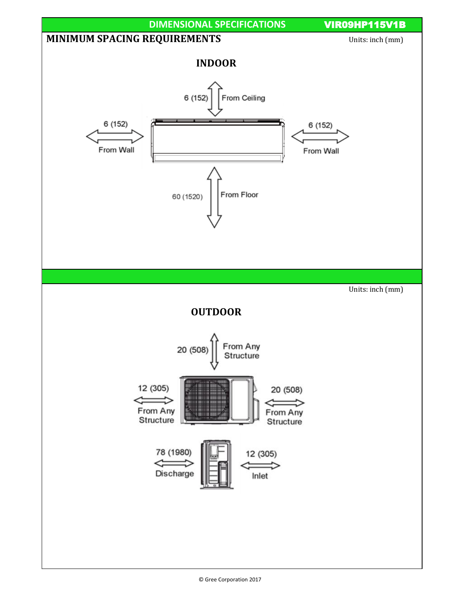

© Gree Corporation 2017